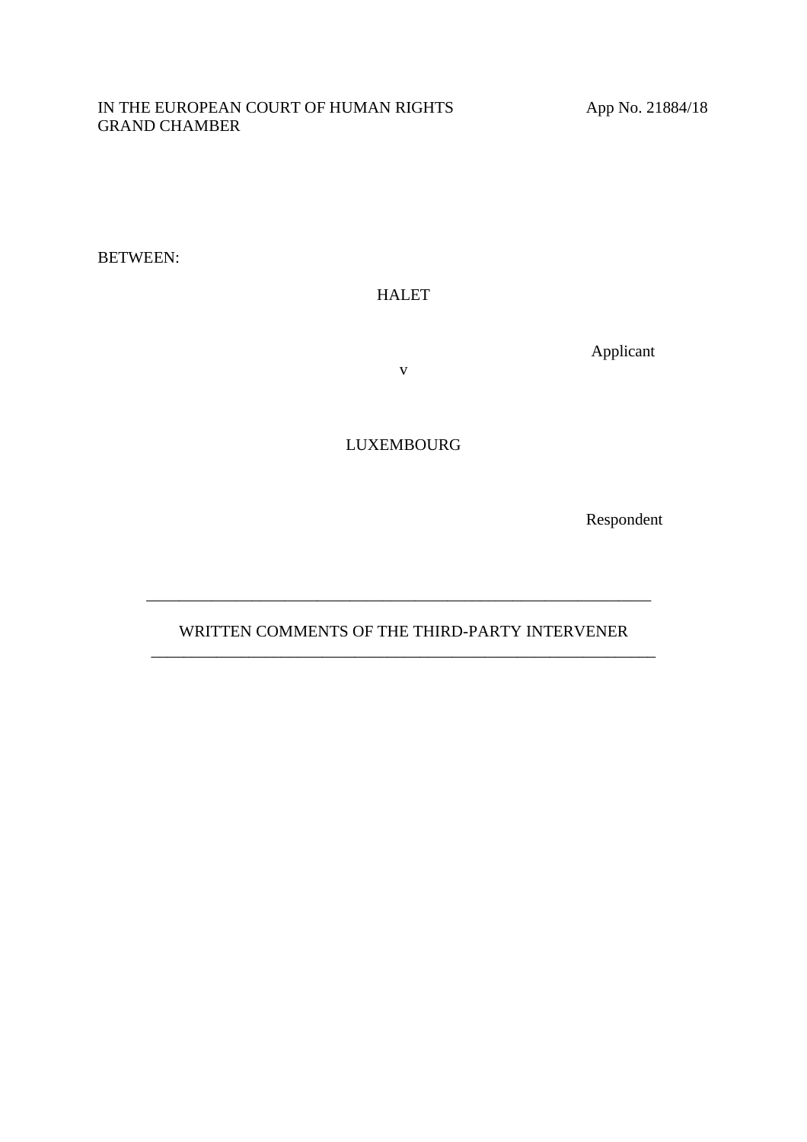#### IN THE EUROPEAN COURT OF HUMAN RIGHTS App No. 21884/18 GRAND CHAMBER

BETWEEN:

### HALET

Applicant

v

LUXEMBOURG

Respondent

## WRITTEN COMMENTS OF THE THIRD-PARTY INTERVENER \_\_\_\_\_\_\_\_\_\_\_\_\_\_\_\_\_\_\_\_\_\_\_\_\_\_\_\_\_\_\_\_\_\_\_\_\_\_\_\_\_\_\_\_\_\_\_\_\_\_\_\_\_\_\_\_\_\_\_\_\_\_

\_\_\_\_\_\_\_\_\_\_\_\_\_\_\_\_\_\_\_\_\_\_\_\_\_\_\_\_\_\_\_\_\_\_\_\_\_\_\_\_\_\_\_\_\_\_\_\_\_\_\_\_\_\_\_\_\_\_\_\_\_\_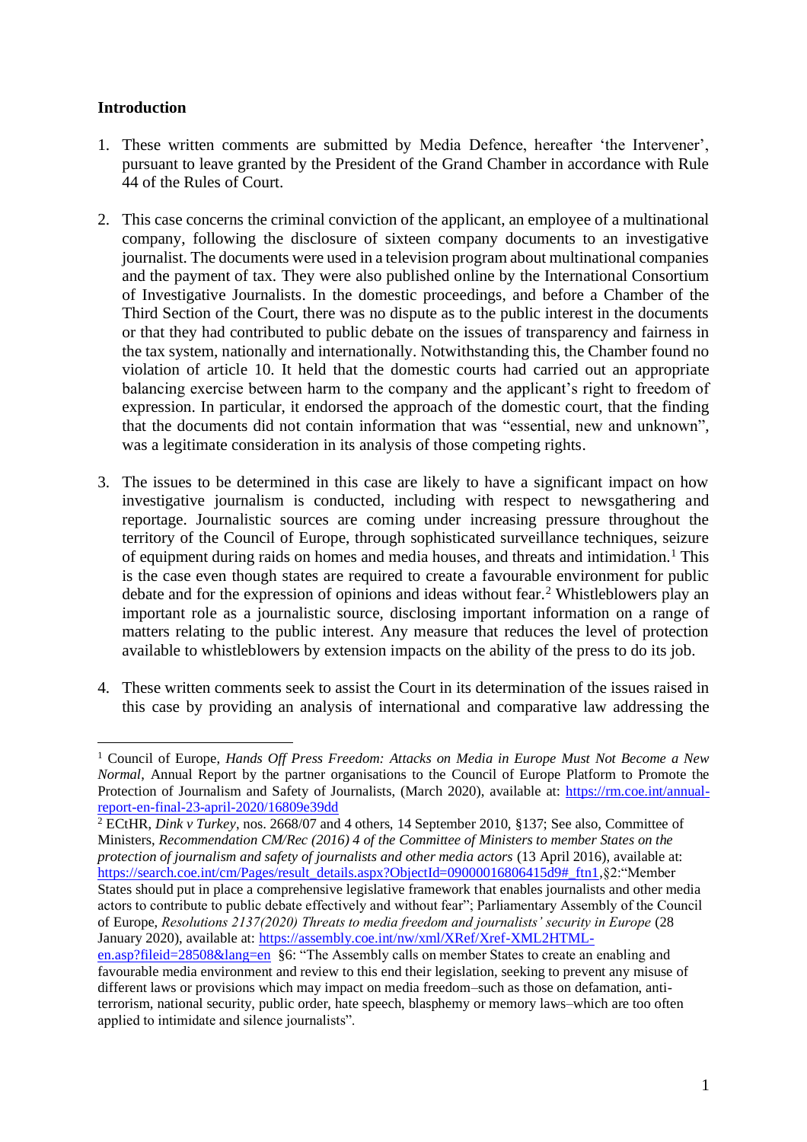# **Introduction**

- 1. These written comments are submitted by Media Defence, hereafter 'the Intervener', pursuant to leave granted by the President of the Grand Chamber in accordance with Rule 44 of the Rules of Court.
- 2. This case concerns the criminal conviction of the applicant, an employee of a multinational company, following the disclosure of sixteen company documents to an investigative journalist. The documents were used in a television program about multinational companies and the payment of tax. They were also published online by the International Consortium of Investigative Journalists. In the domestic proceedings, and before a Chamber of the Third Section of the Court, there was no dispute as to the public interest in the documents or that they had contributed to public debate on the issues of transparency and fairness in the tax system, nationally and internationally. Notwithstanding this, the Chamber found no violation of article 10. It held that the domestic courts had carried out an appropriate balancing exercise between harm to the company and the applicant's right to freedom of expression. In particular, it endorsed the approach of the domestic court, that the finding that the documents did not contain information that was "essential, new and unknown", was a legitimate consideration in its analysis of those competing rights.
- 3. The issues to be determined in this case are likely to have a significant impact on how investigative journalism is conducted, including with respect to newsgathering and reportage. Journalistic sources are coming under increasing pressure throughout the territory of the Council of Europe, through sophisticated surveillance techniques, seizure of equipment during raids on homes and media houses, and threats and intimidation.<sup>1</sup> This is the case even though states are required to create a favourable environment for public debate and for the expression of opinions and ideas without fear.<sup>2</sup> Whistleblowers play an important role as a journalistic source, disclosing important information on a range of matters relating to the public interest. Any measure that reduces the level of protection available to whistleblowers by extension impacts on the ability of the press to do its job.
- 4. These written comments seek to assist the Court in its determination of the issues raised in this case by providing an analysis of international and comparative law addressing the

<sup>1</sup> Council of Europe, *Hands Off Press Freedom: Attacks on Media in Europe Must Not Become a New Normal*, Annual Report by the partner organisations to the Council of Europe Platform to Promote the Protection of Journalism and Safety of Journalists, (March 2020), available at: [https://rm.coe.int/annual](https://rm.coe.int/annual-report-en-final-23-april-2020/16809e39dd)[report-en-final-23-april-2020/16809e39dd](https://rm.coe.int/annual-report-en-final-23-april-2020/16809e39dd)

<sup>2</sup> ECtHR, *Dink v Turkey*, nos. 2668/07 and 4 others, 14 September 2010, §137; See also, Committee of Ministers, *Recommendation CM/Rec (2016) 4 of the Committee of Ministers to member States on the protection of journalism and safety of journalists and other media actors* (13 April 2016), available at: [https://search.coe.int/cm/Pages/result\\_details.aspx?ObjectId=09000016806415d9#\\_ftn1,](https://search.coe.int/cm/Pages/result_details.aspx?ObjectId=09000016806415d9#_ftn1)§2:"Member States should put in place a comprehensive legislative framework that enables journalists and other media actors to contribute to public debate effectively and without fear"; Parliamentary Assembly of the Council of Europe, *Resolutions 2137(2020) Threats to media freedom and journalists' security in Europe* (28 January 2020), available at: [https://assembly.coe.int/nw/xml/XRef/Xref-XML2HTML-](https://assembly.coe.int/nw/xml/XRef/Xref-XML2HTML-en.asp?fileid=28508&lang=en)

[en.asp?fileid=28508&lang=en](https://assembly.coe.int/nw/xml/XRef/Xref-XML2HTML-en.asp?fileid=28508&lang=en) §6: "The Assembly calls on member States to create an enabling and favourable media environment and review to this end their legislation, seeking to prevent any misuse of different laws or provisions which may impact on media freedom–such as those on defamation, antiterrorism, national security, public order, hate speech, blasphemy or memory laws–which are too often applied to intimidate and silence journalists".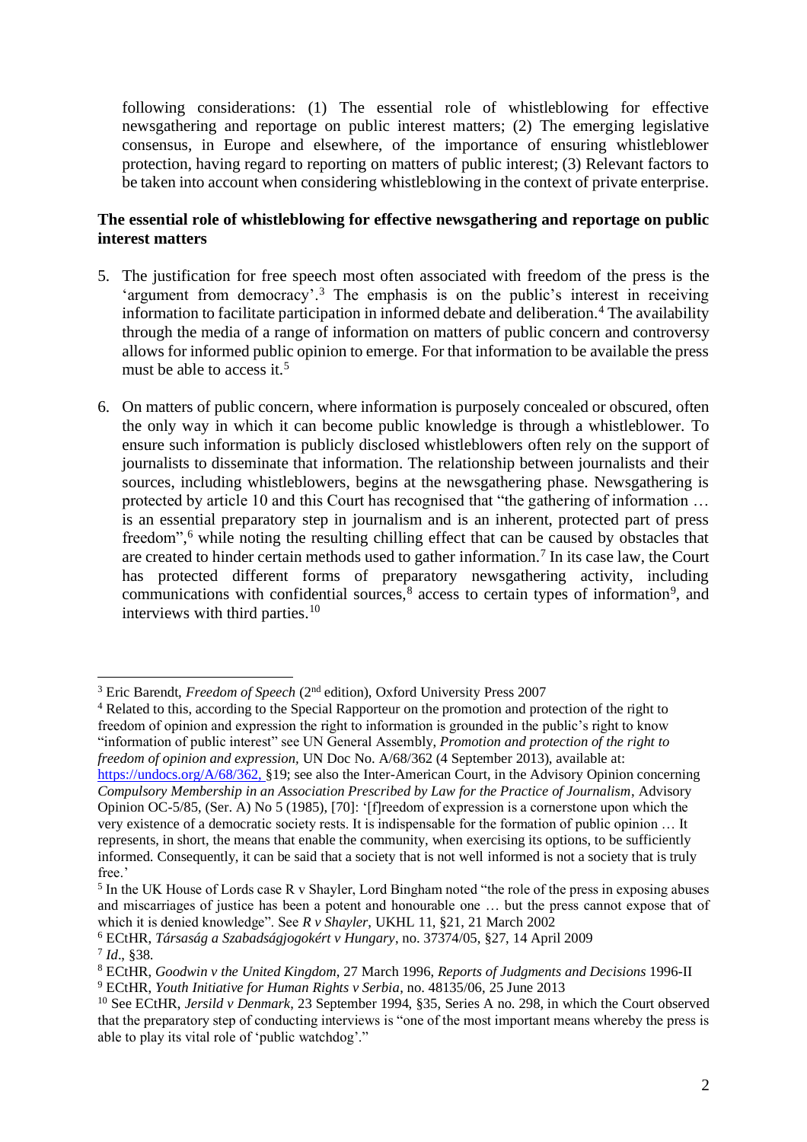following considerations: (1) The essential role of whistleblowing for effective newsgathering and reportage on public interest matters; (2) The emerging legislative consensus, in Europe and elsewhere, of the importance of ensuring whistleblower protection, having regard to reporting on matters of public interest; (3) Relevant factors to be taken into account when considering whistleblowing in the context of private enterprise.

## **The essential role of whistleblowing for effective newsgathering and reportage on public interest matters**

- 5. The justification for free speech most often associated with freedom of the press is the 'argument from democracy'.<sup>3</sup> The emphasis is on the public's interest in receiving information to facilitate participation in informed debate and deliberation.<sup>4</sup> The availability through the media of a range of information on matters of public concern and controversy allows for informed public opinion to emerge. For that information to be available the press must be able to access it.<sup>5</sup>
- 6. On matters of public concern, where information is purposely concealed or obscured, often the only way in which it can become public knowledge is through a whistleblower. To ensure such information is publicly disclosed whistleblowers often rely on the support of journalists to disseminate that information. The relationship between journalists and their sources, including whistleblowers, begins at the newsgathering phase. Newsgathering is protected by article 10 and this Court has recognised that "the gathering of information … is an essential preparatory step in journalism and is an inherent, protected part of press freedom",<sup>6</sup> while noting the resulting chilling effect that can be caused by obstacles that are created to hinder certain methods used to gather information.<sup>7</sup> In its case law, the Court has protected different forms of preparatory newsgathering activity, including communications with confidential sources, $8$  access to certain types of information<sup>9</sup>, and interviews with third parties.<sup>10</sup>

<sup>&</sup>lt;sup>3</sup> Eric Barendt, *Freedom of Speech* (2<sup>nd</sup> edition), Oxford University Press 2007

<sup>4</sup> Related to this, according to the Special Rapporteur on the promotion and protection of the right to freedom of opinion and expression the right to information is grounded in the public's right to know "information of public interest" see UN General Assembly, *Promotion and protection of the right to freedom of opinion and expression,* UN Doc No. A/68/362 (4 September 2013), available at:

[https://undocs.org/A/68/362,](https://undocs.org/A/68/362) §19; see also the Inter-American Court, in the Advisory Opinion concerning *Compulsory Membership in an Association Prescribed by Law for the Practice of Journalism*, Advisory Opinion OC-5/85, (Ser. A) No 5 (1985), [70]: '[f]reedom of expression is a cornerstone upon which the very existence of a democratic society rests. It is indispensable for the formation of public opinion … It represents, in short, the means that enable the community, when exercising its options, to be sufficiently informed. Consequently, it can be said that a society that is not well informed is not a society that is truly free.'

<sup>&</sup>lt;sup>5</sup> In the UK House of Lords case R v Shayler, Lord Bingham noted "the role of the press in exposing abuses and miscarriages of justice has been a potent and honourable one … but the press cannot expose that of which it is denied knowledge". See *R v Shayler*, UKHL 11, §21, 21 March 2002

<sup>6</sup> ECtHR, *Társaság a Szabadságjogokért v Hungary*, no. 37374/05, §27, 14 April 2009 7 *Id*., §38.

<sup>8</sup> ECtHR, *Goodwin v the United Kingdom*, 27 March 1996, *Reports of Judgments and Decisions* 1996-II <sup>9</sup> ECtHR, *Youth Initiative for Human Rights v Serbia*, no. 48135/06, 25 June 2013

<sup>10</sup> See ECtHR, *Jersild v Denmark*, 23 September 1994, §35, Series A no. 298, in which the Court observed that the preparatory step of conducting interviews is "one of the most important means whereby the press is able to play its vital role of 'public watchdog'."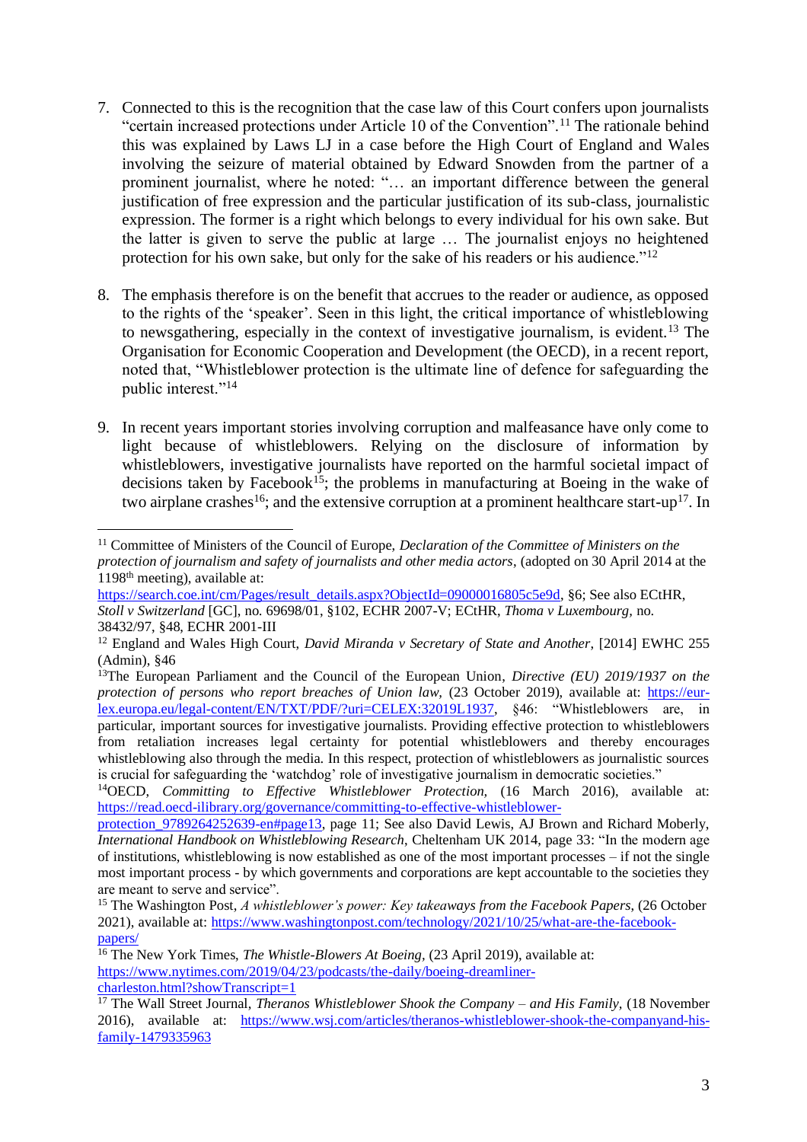- 7. Connected to this is the recognition that the case law of this Court confers upon journalists "certain increased protections under Article 10 of the Convention".<sup>11</sup> The rationale behind this was explained by Laws LJ in a case before the High Court of England and Wales involving the seizure of material obtained by Edward Snowden from the partner of a prominent journalist, where he noted: "… an important difference between the general justification of free expression and the particular justification of its sub-class, journalistic expression. The former is a right which belongs to every individual for his own sake. But the latter is given to serve the public at large … The journalist enjoys no heightened protection for his own sake, but only for the sake of his readers or his audience."<sup>12</sup>
- 8. The emphasis therefore is on the benefit that accrues to the reader or audience, as opposed to the rights of the 'speaker'. Seen in this light, the critical importance of whistleblowing to newsgathering, especially in the context of investigative journalism, is evident.<sup>13</sup> The Organisation for Economic Cooperation and Development (the OECD), in a recent report, noted that, "Whistleblower protection is the ultimate line of defence for safeguarding the public interest."<sup>14</sup>
- 9. In recent years important stories involving corruption and malfeasance have only come to light because of whistleblowers. Relying on the disclosure of information by whistleblowers, investigative journalists have reported on the harmful societal impact of decisions taken by Facebook<sup>15</sup>; the problems in manufacturing at Boeing in the wake of two airplane crashes<sup>16</sup>; and the extensive corruption at a prominent healthcare start-up<sup>17</sup>. In

<sup>11</sup> Committee of Ministers of the Council of Europe, *Declaration of the Committee of Ministers on the protection of journalism and safety of journalists and other media actors*, (adopted on 30 April 2014 at the 1198th meeting), available at:

[https://search.coe.int/cm/Pages/result\\_details.aspx?ObjectId=09000016805c5e9d,](https://search.coe.int/cm/Pages/result_details.aspx?ObjectId=09000016805c5e9d) §6; See also ECtHR, *Stoll v Switzerland* [GC], no. 69698/01, §102, ECHR 2007-V; ECtHR, *Thoma v Luxembourg,* no. 38432/97, §48, ECHR 2001-III

<sup>12</sup> England and Wales High Court, *David Miranda v Secretary of State and Another*, [2014] EWHC 255 (Admin), §46

<sup>13</sup>The European Parliament and the Council of the European Union, *Directive (EU) 2019/1937 on the protection of persons who report breaches of Union law,* (23 October 2019), available at: [https://eur](https://eur-lex.europa.eu/legal-content/EN/TXT/PDF/?uri=CELEX:32019L1937)[lex.europa.eu/legal-content/EN/TXT/PDF/?uri=CELEX:32019L1937,](https://eur-lex.europa.eu/legal-content/EN/TXT/PDF/?uri=CELEX:32019L1937) §46: "Whistleblowers are, in particular, important sources for investigative journalists. Providing effective protection to whistleblowers from retaliation increases legal certainty for potential whistleblowers and thereby encourages whistleblowing also through the media. In this respect, protection of whistleblowers as journalistic sources is crucial for safeguarding the 'watchdog' role of investigative journalism in democratic societies."

<sup>&</sup>lt;sup>14</sup>OECD, *Committing to Effective Whistleblower Protection*, (16 March 2016), available at: [https://read.oecd-ilibrary.org/governance/committing-to-effective-whistleblower-](https://read.oecd-ilibrary.org/governance/committing-to-effective-whistleblower-protection_9789264252639-en#page13)

protection 9789264252639-en#page13, page 11; See also David Lewis, AJ Brown and Richard Moberly, *International Handbook on Whistleblowing Research*, Cheltenham UK 2014, page 33: "In the modern age of institutions, whistleblowing is now established as one of the most important processes – if not the single most important process - by which governments and corporations are kept accountable to the societies they are meant to serve and service".

<sup>15</sup> The Washington Post, *A whistleblower's power: Key takeaways from the Facebook Papers*, (26 October 2021), available at: [https://www.washingtonpost.com/technology/2021/10/25/what-are-the-facebook](https://www.washingtonpost.com/technology/2021/10/25/what-are-the-facebook-papers/)[papers/](https://www.washingtonpost.com/technology/2021/10/25/what-are-the-facebook-papers/)

<sup>16</sup> The New York Times, *The Whistle-Blowers At Boeing,* (23 April 2019), available at: [https://www.nytimes.com/2019/04/23/podcasts/the-daily/boeing-dreamliner](https://www.nytimes.com/2019/04/23/podcasts/the-daily/boeing-dreamliner-charleston.html?showTranscript=1)[charleston.html?showTranscript=1](https://www.nytimes.com/2019/04/23/podcasts/the-daily/boeing-dreamliner-charleston.html?showTranscript=1)

<sup>17</sup> The Wall Street Journal, *Theranos Whistleblower Shook the Company – and His Family,* (18 November 2016), available at: [https://www.wsj.com/articles/theranos-whistleblower-shook-the-companyand-his](https://www.wsj.com/articles/theranos-whistleblower-shook-the-companyand-his-family-1479335963)[family-1479335963](https://www.wsj.com/articles/theranos-whistleblower-shook-the-companyand-his-family-1479335963)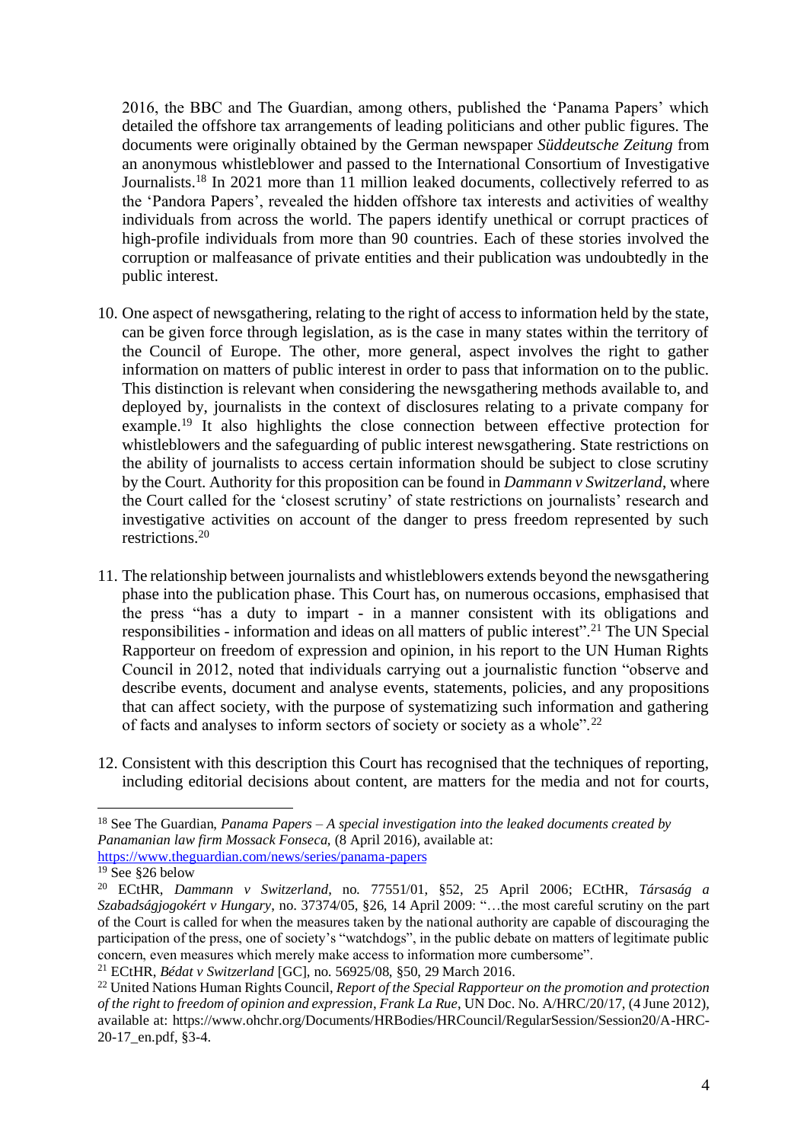2016, the BBC and The Guardian, among others, published the 'Panama Papers' which detailed the offshore tax arrangements of leading politicians and other public figures. The documents were originally obtained by the German newspaper *Süddeutsche Zeitung* from an anonymous whistleblower and passed to the International Consortium of Investigative Journalists.<sup>18</sup> In 2021 more than 11 million leaked documents, collectively referred to as the 'Pandora Papers', revealed the hidden offshore tax interests and activities of wealthy individuals from across the world. The papers identify unethical or corrupt practices of high-profile individuals from more than 90 countries. Each of these stories involved the corruption or malfeasance of private entities and their publication was undoubtedly in the public interest.

- 10. One aspect of newsgathering, relating to the right of access to information held by the state, can be given force through legislation, as is the case in many states within the territory of the Council of Europe. The other, more general, aspect involves the right to gather information on matters of public interest in order to pass that information on to the public. This distinction is relevant when considering the newsgathering methods available to, and deployed by, journalists in the context of disclosures relating to a private company for example.<sup>19</sup> It also highlights the close connection between effective protection for whistleblowers and the safeguarding of public interest newsgathering. State restrictions on the ability of journalists to access certain information should be subject to close scrutiny by the Court. Authority for this proposition can be found in *Dammann v Switzerland*, where the Court called for the 'closest scrutiny' of state restrictions on journalists' research and investigative activities on account of the danger to press freedom represented by such restrictions.<sup>20</sup>
- 11. The relationship between journalists and whistleblowers extends beyond the newsgathering phase into the publication phase. This Court has, on numerous occasions, emphasised that the press "has a duty to impart - in a manner consistent with its obligations and responsibilities - information and ideas on all matters of public interest".<sup>21</sup> The UN Special Rapporteur on freedom of expression and opinion, in his report to the UN Human Rights Council in 2012, noted that individuals carrying out a journalistic function "observe and describe events, document and analyse events, statements, policies, and any propositions that can affect society, with the purpose of systematizing such information and gathering of facts and analyses to inform sectors of society or society as a whole".<sup>22</sup>
- 12. Consistent with this description this Court has recognised that the techniques of reporting, including editorial decisions about content, are matters for the media and not for courts,

<sup>18</sup> See The Guardian, *Panama Papers – A special investigation into the leaked documents created by Panamanian law firm Mossack Fonseca,* (8 April 2016)*,* available at:

<https://www.theguardian.com/news/series/panama-papers>

 $19$  See  $$26$  below

<sup>20</sup> ECtHR, *Dammann v Switzerland*, no. 77551/01, §52, 25 April 2006; ECtHR, *Társaság a Szabadságjogokért v Hungary*, no. 37374/05, §26, 14 April 2009: "…the most careful scrutiny on the part of the Court is called for when the measures taken by the national authority are capable of discouraging the participation of the press, one of society's "watchdogs", in the public debate on matters of legitimate public concern, even measures which merely make access to information more cumbersome". <sup>21</sup> ECtHR, *Bédat v Switzerland* [GC], no. 56925/08, §50, 29 March 2016.

<sup>22</sup> United Nations Human Rights Council, *Report of the Special Rapporteur on the promotion and protection of the right to freedom of opinion and expression*, *Frank La Rue*, UN Doc. No. A/HRC/20/17, (4 June 2012), available at: [https://www.ohchr.org/Documents/HRBodies/HRCouncil/RegularSession/Session20/A-HRC-](https://www.ohchr.org/Documents/HRBodies/HRCouncil/RegularSession/Session20/A-HRC-20-17_en.pdf)20-17 en.pdf, §3-4.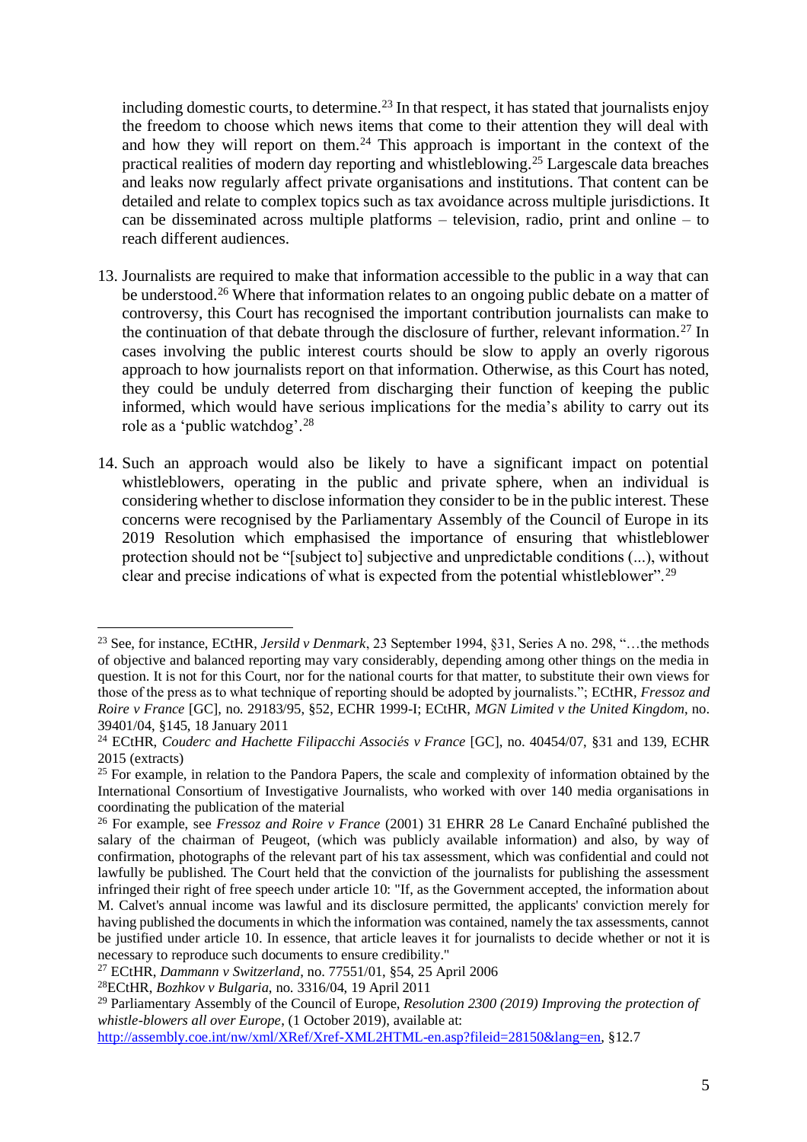including domestic courts, to determine.<sup>23</sup> In that respect, it has stated that journalists enjoy the freedom to choose which news items that come to their attention they will deal with and how they will report on them.<sup>24</sup> This approach is important in the context of the practical realities of modern day reporting and whistleblowing.<sup>25</sup> Largescale data breaches and leaks now regularly affect private organisations and institutions. That content can be detailed and relate to complex topics such as tax avoidance across multiple jurisdictions. It can be disseminated across multiple platforms – television, radio, print and online – to reach different audiences.

- 13. Journalists are required to make that information accessible to the public in a way that can be understood.<sup>26</sup> Where that information relates to an ongoing public debate on a matter of controversy, this Court has recognised the important contribution journalists can make to the continuation of that debate through the disclosure of further, relevant information.<sup>27</sup> In cases involving the public interest courts should be slow to apply an overly rigorous approach to how journalists report on that information. Otherwise, as this Court has noted, they could be unduly deterred from discharging their function of keeping the public informed, which would have serious implications for the media's ability to carry out its role as a 'public watchdog'.<sup>28</sup>
- 14. Such an approach would also be likely to have a significant impact on potential whistleblowers, operating in the public and private sphere, when an individual is considering whether to disclose information they consider to be in the public interest. These concerns were recognised by the Parliamentary Assembly of the Council of Europe in its 2019 Resolution which emphasised the importance of ensuring that whistleblower protection should not be "[subject to] subjective and unpredictable conditions (...), without clear and precise indications of what is expected from the potential whistleblower".<sup>29</sup>

<sup>23</sup> See, for instance, ECtHR, *Jersild v Denmark*, 23 September 1994, §31, Series A no. 298, "…the methods of objective and balanced reporting may vary considerably, depending among other things on the media in question. It is not for this Court, nor for the national courts for that matter, to substitute their own views for those of the press as to what technique of reporting should be adopted by journalists."; ECtHR, *Fressoz and Roire v France* [GC], no. 29183/95, §52, ECHR 1999-I; ECtHR, *MGN Limited v the United Kingdom*, no. 39401/04, §145, 18 January 2011

<sup>24</sup> ECtHR, *Couderc and Hachette Filipacchi Associés v France* [GC], no. 40454/07, §31 and 139, ECHR 2015 (extracts)

<sup>&</sup>lt;sup>25</sup> For example, in relation to the Pandora Papers, the scale and complexity of information obtained by the International Consortium of Investigative Journalists, who worked with over 140 media organisations in coordinating the publication of the material

<sup>26</sup> For example, see *Fressoz and Roire v France* (2001) 31 EHRR 28 Le Canard Enchaîné published the salary of the chairman of Peugeot, (which was publicly available information) and also, by way of confirmation, photographs of the relevant part of his tax assessment, which was confidential and could not lawfully be published. The Court held that the conviction of the journalists for publishing the assessment infringed their right of free speech under article 10: "If, as the Government accepted, the information about M. Calvet's annual income was lawful and its disclosure permitted, the applicants' conviction merely for having published the documents in which the information was contained, namely the tax assessments, cannot be justified under article 10. In essence, that article leaves it for journalists to decide whether or not it is necessary to reproduce such documents to ensure credibility."

<sup>27</sup> ECtHR, *Dammann v Switzerland*, no. 77551/01, §54, 25 April 2006

<sup>28</sup>ECtHR, *Bozhkov v Bulgaria*, no. 3316/04, 19 April 2011

<sup>29</sup> Parliamentary Assembly of the Council of Europe, *Resolution 2300 (2019) Improving the protection of whistle-blowers all over Europe*, (1 October 2019), available at:

[http://assembly.coe.int/nw/xml/XRef/Xref-XML2HTML-en.asp?fileid=28150&lang=en,](http://assembly.coe.int/nw/xml/XRef/Xref-XML2HTML-en.asp?fileid=28150&lang=en) §12.7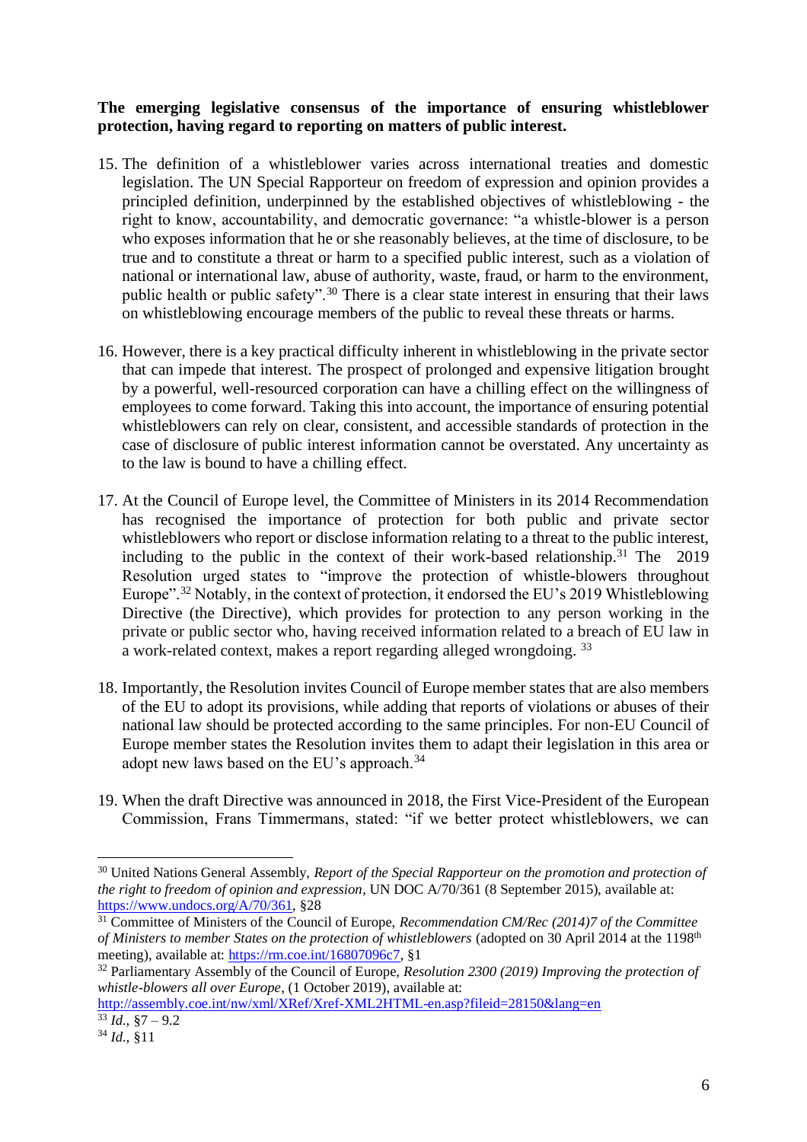### **The emerging legislative consensus of the importance of ensuring whistleblower protection, having regard to reporting on matters of public interest.**

- 15. The definition of a whistleblower varies across international treaties and domestic legislation. The UN Special Rapporteur on freedom of expression and opinion provides a principled definition, underpinned by the established objectives of whistleblowing - the right to know, accountability, and democratic governance: "a whistle-blower is a person who exposes information that he or she reasonably believes, at the time of disclosure, to be true and to constitute a threat or harm to a specified public interest, such as a violation of national or international law, abuse of authority, waste, fraud, or harm to the environment, public health or public safety".<sup>30</sup> There is a clear state interest in ensuring that their laws on whistleblowing encourage members of the public to reveal these threats or harms.
- 16. However, there is a key practical difficulty inherent in whistleblowing in the private sector that can impede that interest. The prospect of prolonged and expensive litigation brought by a powerful, well-resourced corporation can have a chilling effect on the willingness of employees to come forward. Taking this into account, the importance of ensuring potential whistleblowers can rely on clear, consistent, and accessible standards of protection in the case of disclosure of public interest information cannot be overstated. Any uncertainty as to the law is bound to have a chilling effect.
- 17. At the Council of Europe level, the Committee of Ministers in its 2014 Recommendation has recognised the importance of protection for both public and private sector whistleblowers who report or disclose information relating to a threat to the public interest, including to the public in the context of their work-based relationship.<sup>31</sup> The 2019 Resolution urged states to "improve the protection of whistle-blowers throughout Europe"<sup>32</sup> Notably, in the context of protection, it endorsed the EU's 2019 Whistleblowing Directive (the Directive), which provides for protection to any person working in the private or public sector who, having received information related to a breach of EU law in a work-related context, makes a report regarding alleged wrongdoing. <sup>33</sup>
- 18. Importantly, the Resolution invites Council of Europe member states that are also members of the EU to adopt its provisions, while adding that reports of violations or abuses of their national law should be protected according to the same principles. For non-EU Council of Europe member states the Resolution invites them to adapt their legislation in this area or adopt new laws based on the EU's approach.<sup>34</sup>
- 19. When the draft Directive was announced in 2018, the First Vice-President of the European Commission, Frans Timmermans, stated: "if we better protect whistleblowers, we can

<sup>30</sup> United Nations General Assembly, *Report of the Special Rapporteur on the promotion and protection of the right to freedom of opinion and expression*, UN DOC A/70/361 (8 September 2015), available at: [https://www.undocs.org/A/70/361,](https://www.undocs.org/A/70/361) §28

<sup>31</sup> Committee of Ministers of the Council of Europe, *Recommendation CM/Rec (2014)7 of the Committee of Ministers to member States on the protection of whistleblowers* (adopted on 30 April 2014 at the 1198th meeting), available at: [https://rm.coe.int/16807096c7,](https://rm.coe.int/16807096c7) §1

<sup>32</sup> Parliamentary Assembly of the Council of Europe, *Resolution 2300 (2019) Improving the protection of whistle-blowers all over Europe*, (1 October 2019), available at:

<http://assembly.coe.int/nw/xml/XRef/Xref-XML2HTML-en.asp?fileid=28150&lang=en>  $\overline{33}$  *Id.*,  $\overline{87} - 9.2$ 

<sup>34</sup> *Id.,* §11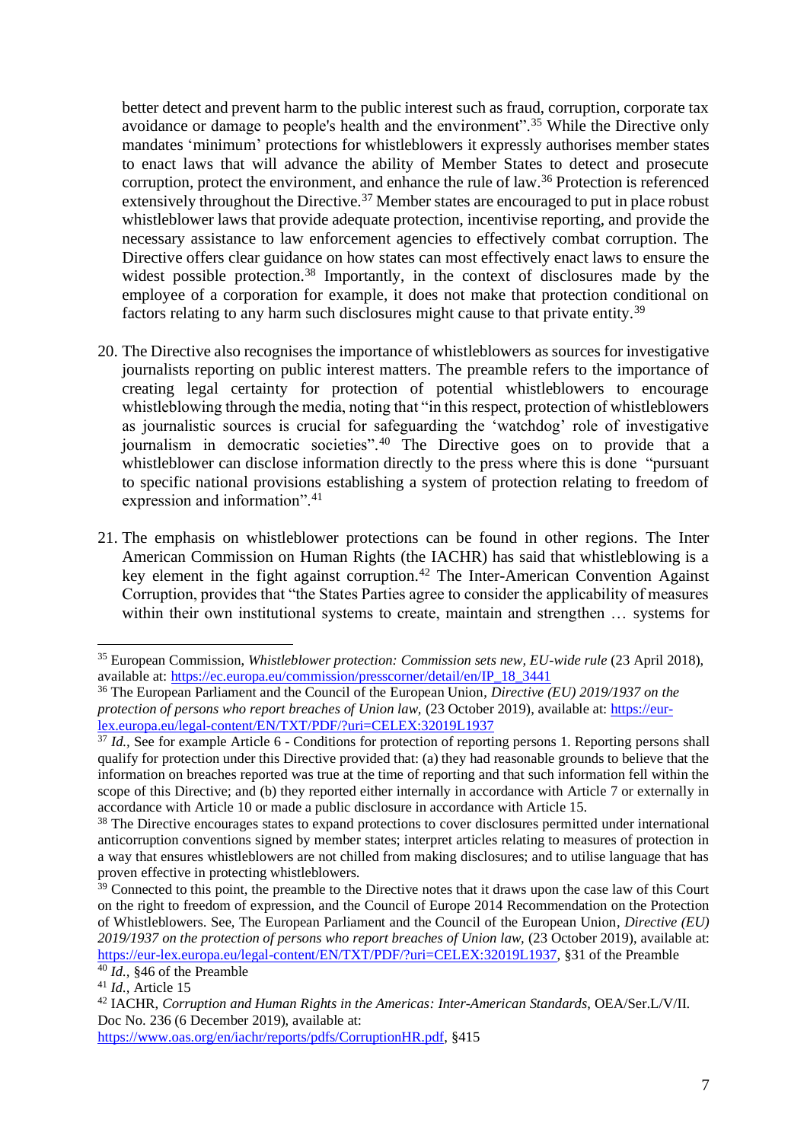better detect and prevent harm to the public interest such as fraud, corruption, corporate tax avoidance or damage to people's health and the environment".<sup>35</sup> While the Directive only mandates 'minimum' protections for whistleblowers it expressly authorises member states to enact laws that will advance the ability of Member States to detect and prosecute corruption, protect the environment, and enhance the rule of law.<sup>36</sup> Protection is referenced extensively throughout the Directive.<sup>37</sup> Member states are encouraged to put in place robust whistleblower laws that provide adequate protection, incentivise reporting, and provide the necessary assistance to law enforcement agencies to effectively combat corruption. The Directive offers clear guidance on how states can most effectively enact laws to ensure the widest possible protection.<sup>38</sup> Importantly, in the context of disclosures made by the employee of a corporation for example, it does not make that protection conditional on factors relating to any harm such disclosures might cause to that private entity.<sup>39</sup>

- 20. The Directive also recognises the importance of whistleblowers as sources for investigative journalists reporting on public interest matters. The preamble refers to the importance of creating legal certainty for protection of potential whistleblowers to encourage whistleblowing through the media, noting that "in this respect, protection of whistleblowers as journalistic sources is crucial for safeguarding the 'watchdog' role of investigative journalism in democratic societies".<sup>40</sup> The Directive goes on to provide that a whistleblower can disclose information directly to the press where this is done "pursuant" to specific national provisions establishing a system of protection relating to freedom of expression and information".<sup>41</sup>
- 21. The emphasis on whistleblower protections can be found in other regions. The Inter American Commission on Human Rights (the IACHR) has said that whistleblowing is a key element in the fight against corruption.<sup>42</sup> The Inter-American Convention Against Corruption, provides that "the States Parties agree to consider the applicability of measures within their own institutional systems to create, maintain and strengthen … systems for

<sup>&</sup>lt;sup>35</sup> European Commission, *Whistleblower protection: Commission sets new, EU-wide rule* (23 April 2018), available at[: https://ec.europa.eu/commission/presscorner/detail/en/IP\\_18\\_3441](https://ec.europa.eu/commission/presscorner/detail/en/IP_18_3441)

<sup>36</sup> The European Parliament and the Council of the European Union, *Directive (EU) 2019/1937 on the protection of persons who report breaches of Union law,* (23 October 2019), available at: [https://eur](https://eur-lex.europa.eu/legal-content/EN/TXT/PDF/?uri=CELEX:32019L1937)[lex.europa.eu/legal-content/EN/TXT/PDF/?uri=CELEX:32019L1937](https://eur-lex.europa.eu/legal-content/EN/TXT/PDF/?uri=CELEX:32019L1937)

<sup>&</sup>lt;sup>37</sup> *Id.*, See for example Article 6 - Conditions for protection of reporting persons 1. Reporting persons shall qualify for protection under this Directive provided that: (a) they had reasonable grounds to believe that the information on breaches reported was true at the time of reporting and that such information fell within the scope of this Directive; and (b) they reported either internally in accordance with Article 7 or externally in accordance with Article 10 or made a public disclosure in accordance with Article 15.

<sup>&</sup>lt;sup>38</sup> The Directive encourages states to expand protections to cover disclosures permitted under international anticorruption conventions signed by member states; interpret articles relating to measures of protection in a way that ensures whistleblowers are not chilled from making disclosures; and to utilise language that has proven effective in protecting whistleblowers.

<sup>&</sup>lt;sup>39</sup> Connected to this point, the preamble to the Directive notes that it draws upon the case law of this Court on the right to freedom of expression, and the Council of Europe 2014 Recommendation on the Protection of Whistleblowers. See, The European Parliament and the Council of the European Union, *Directive (EU) 2019/1937 on the protection of persons who report breaches of Union law,* (23 October 2019), available at: [https://eur-lex.europa.eu/legal-content/EN/TXT/PDF/?uri=CELEX:32019L1937,](https://eur-lex.europa.eu/legal-content/EN/TXT/PDF/?uri=CELEX:32019L1937) §31 of the Preamble <sup>40</sup> *Id.,* §46 of the Preamble

<sup>41</sup> *Id.,* Article 15

<sup>42</sup> IACHR, *Corruption and Human Rights in the Americas: Inter-American Standards*, OEA/Ser.L/V/II. Doc No. 236 (6 December 2019), available at:

[https://www.oas.org/en/iachr/reports/pdfs/CorruptionHR.pdf,](https://www.oas.org/en/iachr/reports/pdfs/CorruptionHR.pdf) §415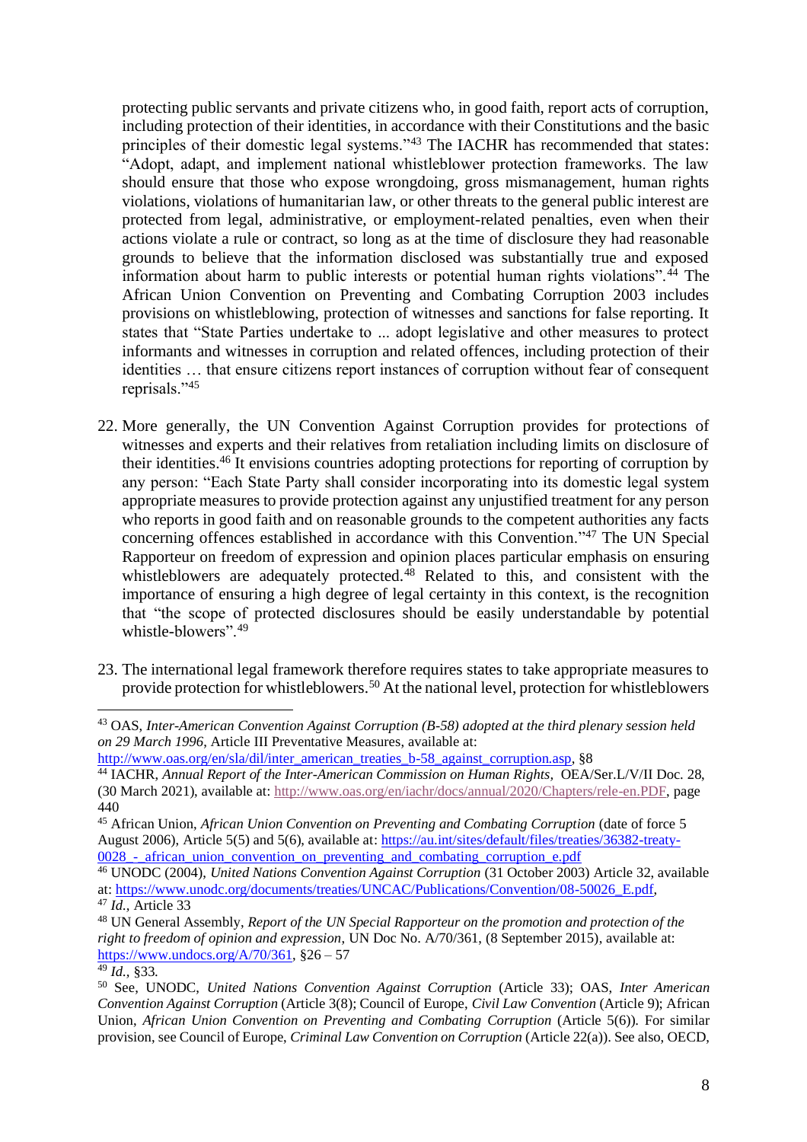protecting public servants and private citizens who, in good faith, report acts of corruption, including protection of their identities, in accordance with their Constitutions and the basic principles of their domestic legal systems."<sup>43</sup> The IACHR has recommended that states: "Adopt, adapt, and implement national whistleblower protection frameworks. The law should ensure that those who expose wrongdoing, gross mismanagement, human rights violations, violations of humanitarian law, or other threats to the general public interest are protected from legal, administrative, or employment-related penalties, even when their actions violate a rule or contract, so long as at the time of disclosure they had reasonable grounds to believe that the information disclosed was substantially true and exposed information about harm to public interests or potential human rights violations".<sup>44</sup> The African Union Convention on Preventing and Combating Corruption 2003 includes provisions on whistleblowing, protection of witnesses and sanctions for false reporting. It states that "State Parties undertake to ... adopt legislative and other measures to protect informants and witnesses in corruption and related offences, including protection of their identities … that ensure citizens report instances of corruption without fear of consequent reprisals."<sup>45</sup>

- 22. More generally, the UN Convention Against Corruption provides for protections of witnesses and experts and their relatives from retaliation including limits on disclosure of their identities.<sup>46</sup> It envisions countries adopting protections for reporting of corruption by any person: "Each State Party shall consider incorporating into its domestic legal system appropriate measures to provide protection against any unjustified treatment for any person who reports in good faith and on reasonable grounds to the competent authorities any facts concerning offences established in accordance with this Convention."<sup>47</sup> The UN Special Rapporteur on freedom of expression and opinion places particular emphasis on ensuring whistleblowers are adequately protected.<sup>48</sup> Related to this, and consistent with the importance of ensuring a high degree of legal certainty in this context, is the recognition that "the scope of protected disclosures should be easily understandable by potential whistle-blowers".<sup>49</sup>
- 23. The international legal framework therefore requires states to take appropriate measures to provide protection for whistleblowers.<sup>50</sup> At the national level, protection for whistleblowers

<sup>43</sup> OAS, *Inter-American Convention Against Corruption (B-58) adopted at the third plenary session held on 29 March 1996*, Article III Preventative Measures, available at:

[http://www.oas.org/en/sla/dil/inter\\_american\\_treaties\\_b-58\\_against\\_corruption.asp,](http://www.oas.org/en/sla/dil/inter_american_treaties_b-58_against_corruption.asp) §8

<sup>&</sup>lt;sup>44</sup> IACHR, *Annual Report of the Inter-American Commission on Human Rights, OEA/Ser.L/V/II Doc. 28,* (30 March 2021), available at: [http://www.oas.org/en/iachr/docs/annual/2020/Chapters/rele-en.PDF,](http://www.oas.org/en/iachr/docs/annual/2020/Chapters/rele-en.PDF) page 440

<sup>45</sup> African Union, *African Union Convention on Preventing and Combating Corruption* (date of force 5 August 2006), Article 5(5) and 5(6), available at: [https://au.int/sites/default/files/treaties/36382-treaty-](https://au.int/sites/default/files/treaties/36382-treaty-0028_-_african_union_convention_on_preventing_and_combating_corruption_e.pdf)0028 - african union convention on preventing and combating corruption e.pdf

<sup>46</sup> UNODC (2004), *United Nations Convention Against Corruption* (31 October 2003) Article 32, available at: [https://www.unodc.org/documents/treaties/UNCAC/Publications/Convention/08-50026\\_E.pdf,](https://www.unodc.org/documents/treaties/UNCAC/Publications/Convention/08-50026_E.pdf)

<sup>47</sup> *Id.,* Article 33

<sup>48</sup> UN General Assembly, *Report of the UN Special Rapporteur on the promotion and protection of the right to freedom of opinion and expression*, UN Doc No. A/70/361, (8 September 2015), available at: [https://www.undocs.org/A/70/361,](https://www.undocs.org/A/70/361) §26 – 57

<sup>49</sup> *Id.,* §33.

<sup>50</sup> See, UNODC, *United Nations Convention Against Corruption* (Article 33); OAS, *Inter American Convention Against Corruption* (Article 3(8); Council of Europe, *Civil Law Convention* (Article 9); African Union, *African Union Convention on Preventing and Combating Corruption* (Article 5(6)). For similar provision, see Council of Europe, *Criminal Law Convention on Corruption* (Article 22(a)). See also, OECD,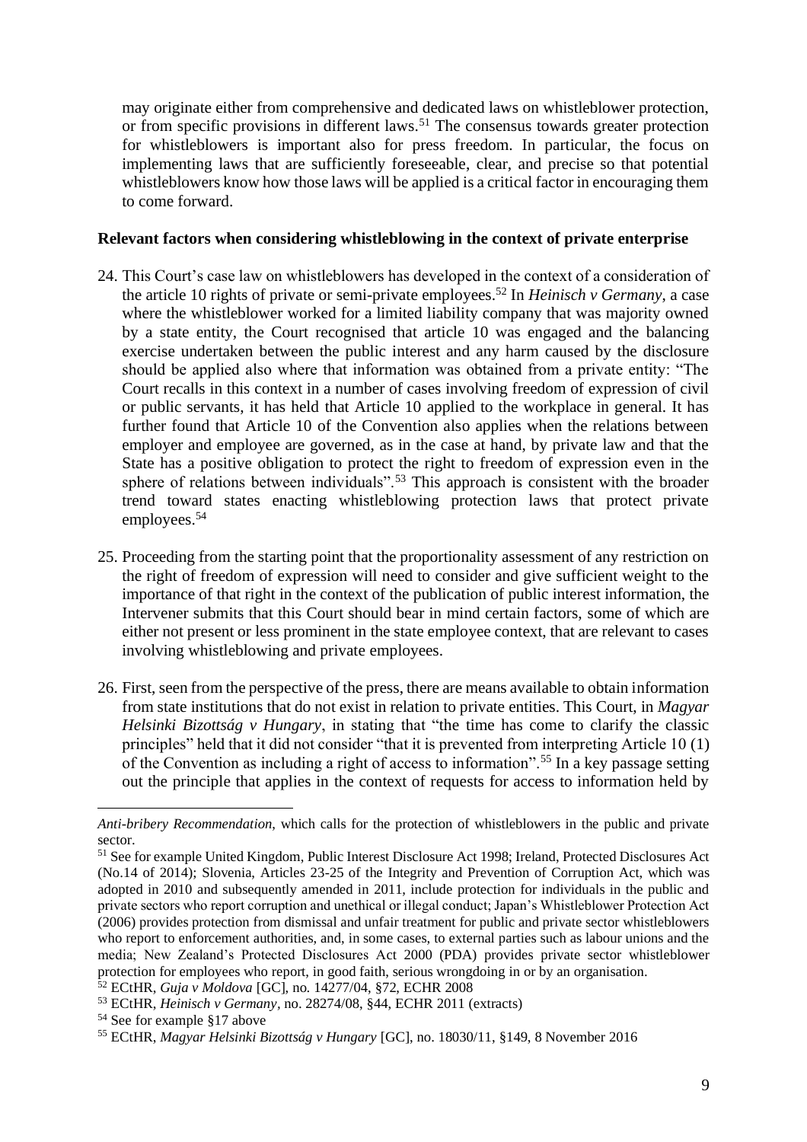may originate either from comprehensive and dedicated laws on whistleblower protection, or from specific provisions in different laws.<sup>51</sup> The consensus towards greater protection for whistleblowers is important also for press freedom. In particular, the focus on implementing laws that are sufficiently foreseeable, clear, and precise so that potential whistleblowers know how those laws will be applied is a critical factor in encouraging them to come forward.

#### **Relevant factors when considering whistleblowing in the context of private enterprise**

- 24. This Court's case law on whistleblowers has developed in the context of a consideration of the article 10 rights of private or semi-private employees.<sup>52</sup> In *Heinisch v Germany*, a case where the whistleblower worked for a limited liability company that was majority owned by a state entity, the Court recognised that article 10 was engaged and the balancing exercise undertaken between the public interest and any harm caused by the disclosure should be applied also where that information was obtained from a private entity: "The Court recalls in this context in a number of cases involving freedom of expression of civil or public servants, it has held that Article 10 applied to the workplace in general. It has further found that Article 10 of the Convention also applies when the relations between employer and employee are governed, as in the case at hand, by private law and that the State has a positive obligation to protect the right to freedom of expression even in the sphere of relations between individuals".<sup>53</sup> This approach is consistent with the broader trend toward states enacting whistleblowing protection laws that protect private employees.<sup>54</sup>
- 25. Proceeding from the starting point that the proportionality assessment of any restriction on the right of freedom of expression will need to consider and give sufficient weight to the importance of that right in the context of the publication of public interest information, the Intervener submits that this Court should bear in mind certain factors, some of which are either not present or less prominent in the state employee context, that are relevant to cases involving whistleblowing and private employees.
- 26. First, seen from the perspective of the press, there are means available to obtain information from state institutions that do not exist in relation to private entities. This Court, in *Magyar Helsinki Bizottság v Hungary*, in stating that "the time has come to clarify the classic principles" held that it did not consider "that it is prevented from interpreting Article 10 (1) of the Convention as including a right of access to information".<sup>55</sup> In a key passage setting out the principle that applies in the context of requests for access to information held by

*Anti-bribery Recommendation*, which calls for the protection of whistleblowers in the public and private sector.

<sup>51</sup> See for example United Kingdom, Public Interest Disclosure Act 1998; Ireland, Protected Disclosures Act (No.14 of 2014); Slovenia, Articles 23-25 of the Integrity and Prevention of Corruption Act, which was adopted in 2010 and subsequently amended in 2011, include protection for individuals in the public and private sectors who report corruption and unethical or illegal conduct; Japan's Whistleblower Protection Act (2006) provides protection from dismissal and unfair treatment for public and private sector whistleblowers who report to enforcement authorities, and, in some cases, to external parties such as labour unions and the media; New Zealand's Protected Disclosures Act 2000 (PDA) provides private sector whistleblower protection for employees who report, in good faith, serious wrongdoing in or by an organisation.

<sup>52</sup> ECtHR, *Guja v Moldova* [GC], no. 14277/04, §72, ECHR 2008

<sup>53</sup> ECtHR, *Heinisch v Germany,* no. 28274/08, §44, ECHR 2011 (extracts)

<sup>54</sup> See for example §17 above

<sup>55</sup> ECtHR, *Magyar Helsinki Bizottság v Hungary* [GC], no. 18030/11, §149, 8 November 2016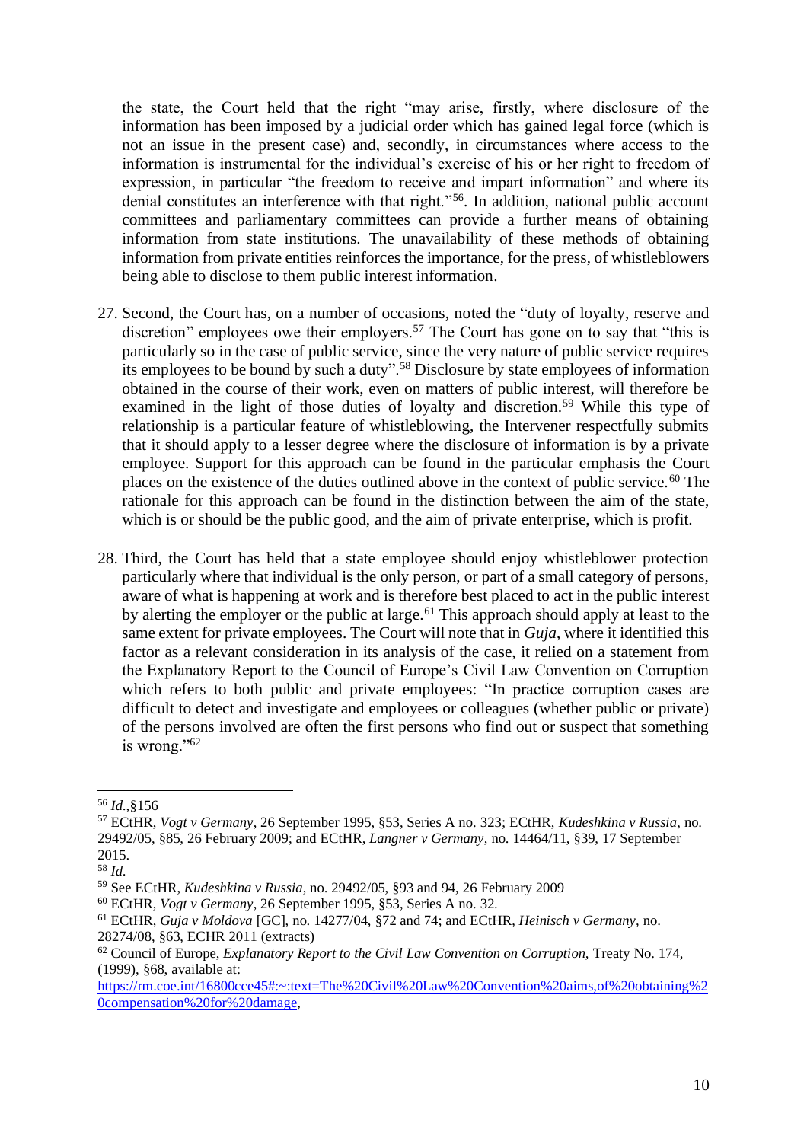the state, the Court held that the right "may arise, firstly, where disclosure of the information has been imposed by a judicial order which has gained legal force (which is not an issue in the present case) and, secondly, in circumstances where access to the information is instrumental for the individual's exercise of his or her right to freedom of expression, in particular "the freedom to receive and impart information" and where its denial constitutes an interference with that right."<sup>56</sup>. In addition, national public account committees and parliamentary committees can provide a further means of obtaining information from state institutions. The unavailability of these methods of obtaining information from private entities reinforces the importance, for the press, of whistleblowers being able to disclose to them public interest information.

- 27. Second, the Court has, on a number of occasions, noted the "duty of loyalty, reserve and discretion" employees owe their employers.<sup>57</sup> The Court has gone on to say that "this is particularly so in the case of public service, since the very nature of public service requires its employees to be bound by such a duty".<sup>58</sup> Disclosure by state employees of information obtained in the course of their work, even on matters of public interest, will therefore be examined in the light of those duties of loyalty and discretion.<sup>59</sup> While this type of relationship is a particular feature of whistleblowing, the Intervener respectfully submits that it should apply to a lesser degree where the disclosure of information is by a private employee. Support for this approach can be found in the particular emphasis the Court places on the existence of the duties outlined above in the context of public service.<sup>60</sup> The rationale for this approach can be found in the distinction between the aim of the state, which is or should be the public good, and the aim of private enterprise, which is profit.
- 28. Third, the Court has held that a state employee should enjoy whistleblower protection particularly where that individual is the only person, or part of a small category of persons, aware of what is happening at work and is therefore best placed to act in the public interest by alerting the employer or the public at large.<sup>61</sup> This approach should apply at least to the same extent for private employees. The Court will note that in *Guja*, where it identified this factor as a relevant consideration in its analysis of the case, it relied on a statement from the Explanatory Report to the Council of Europe's Civil Law Convention on Corruption which refers to both public and private employees: "In practice corruption cases are difficult to detect and investigate and employees or colleagues (whether public or private) of the persons involved are often the first persons who find out or suspect that something is wrong."<sup>62</sup>

<sup>56</sup> *Id.,*§156

<sup>57</sup> ECtHR, *Vogt v Germany*, 26 September 1995, §53, Series A no. 323; ECtHR, *Kudeshkina v Russia*, no. 29492/05, §85, 26 February 2009; and ECtHR, *Langner v Germany*, no. 14464/11, §39, 17 September 2015.

<sup>58</sup> *Id.*

<sup>59</sup> See ECtHR, *Kudeshkina v Russia*, no. 29492/05, §93 and 94, 26 February 2009

<sup>60</sup> ECtHR, *Vogt v Germany*, 26 September 1995, §53, Series A no. 32.

<sup>61</sup> ECtHR, *Guja v Moldova* [GC], no. 14277/04, §72 and 74; and ECtHR, *Heinisch v Germany,* no. 28274/08, §63, ECHR 2011 (extracts)

<sup>&</sup>lt;sup>62</sup> Council of Europe, *Explanatory Report to the Civil Law Convention on Corruption*, Treaty No. 174, (1999), §68, available at:

[https://rm.coe.int/16800cce45#:~:text=The%20Civil%20Law%20Convention%20aims,of%20obtaining%2](https://rm.coe.int/16800cce45#:~:text=The%20Civil%20Law%20Convention%20aims,of%20obtaining%20compensation%20for%20damage) [0compensation%20for%20damage,](https://rm.coe.int/16800cce45#:~:text=The%20Civil%20Law%20Convention%20aims,of%20obtaining%20compensation%20for%20damage)